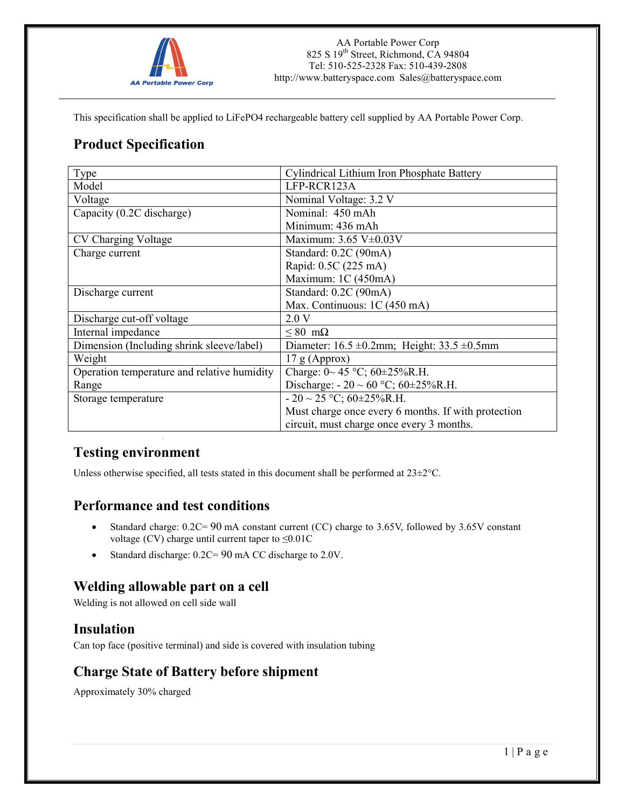

This specification shall be applied to LiFePO4 rechargeable battery cell supplied by AA Portable Power Corp.

## **Product Specification**

| Type                                        | Cylindrical Lithium Iron Phosphate Battery             |
|---------------------------------------------|--------------------------------------------------------|
| Model                                       | LFP-RCR123A                                            |
| Voltage                                     | Nominal Voltage: 3.2 V                                 |
| Capacity (0.2C discharge)                   | Nominal: 450 mAh                                       |
|                                             | Minimum: 436 mAh                                       |
| CV Charging Voltage                         | Maximum: $3.65$ V $\pm$ 0.03V                          |
| Charge current                              | Standard: 0.2C (90mA)                                  |
|                                             | Rapid: 0.5C (225 mA)                                   |
|                                             | Maximum: 1C (450mA)                                    |
| Discharge current                           | Standard: 0.2C (90mA)                                  |
|                                             | Max. Continuous: 1C (450 mA)                           |
| Discharge cut-off voltage                   | 2.0 V                                                  |
| Internal impedance                          | $\leq 80$ m $\Omega$                                   |
| Dimension (Including shrink sleeve/label)   | Diameter: $16.5 \pm 0.2$ mm; Height: $33.5 \pm 0.5$ mm |
| Weight                                      | $17$ g (Approx)                                        |
| Operation temperature and relative humidity | Charge: $0 \sim 45$ °C; $60 \pm 25\%$ R.H.             |
| Range                                       | Discharge: $-20 \sim 60$ °C; 60±25%R.H.                |
| Storage temperature                         | $-20 \sim 25$ °C; 60±25%R.H.                           |
|                                             | Must charge once every 6 months. If with protection    |
|                                             | circuit, must charge once every 3 months.              |

## **Testing environment**

Unless otherwise specified, all tests stated in this document shall be performed at 23±2°C.

### **Performance and test conditions**

- Standard charge: 0.2C= 90 mA constant current (CC) charge to 3.65V, followed by 3.65V constant voltage (CV) charge until current taper to  $\leq 0.01C$
- Standard discharge:  $0.2C = 90$  mA CC discharge to 2.0V.

### **Welding allowable part on a cell**

Welding is not allowed on cell side wall

### **Insulation**

Can top face (positive terminal) and side is covered with insulation tubing

## **Charge State of Battery before shipment**

Approximately 30% charged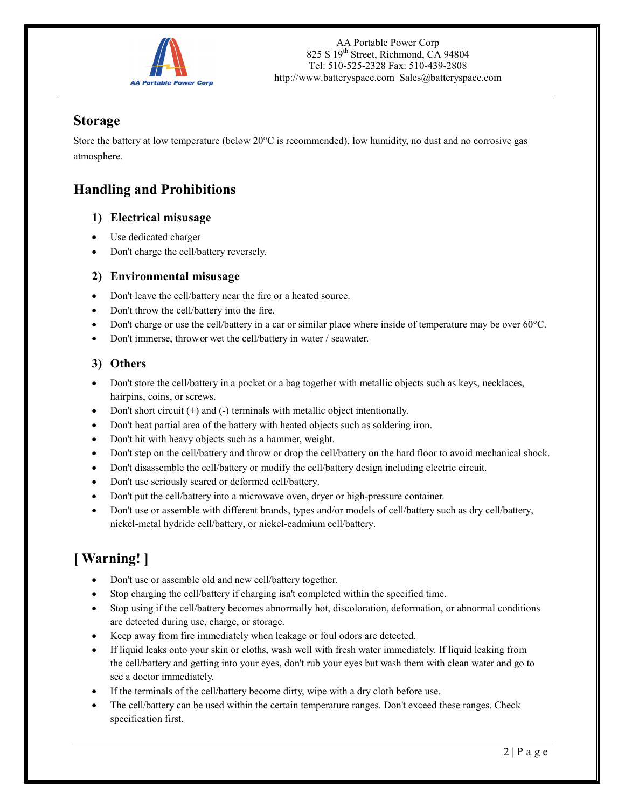

## **Storage**

Store the battery at low temperature (below 20°C is recommended), low humidity, no dust and no corrosive gas atmosphere.

## **Handling and Prohibitions**

### **1) Electrical misusage**

- Use dedicated charger
- Don't charge the cell/battery reversely.

### **2) Environmental misusage**

- Don't leave the cell/battery near the fire or a heated source.
- Don't throw the cell/battery into the fire.
- Don't charge or use the cell/battery in a car or similar place where inside of temperature may be over 60°C.
- Don't immerse, throw or wet the cell/battery in water / seawater.

### **3) Others**

- Don't store the cell/battery in a pocket or a bag together with metallic objects such as keys, necklaces, hairpins, coins, or screws.
- Don't short circuit  $(+)$  and  $(-)$  terminals with metallic object intentionally.
- Don't heat partial area of the battery with heated objects such as soldering iron.
- Don't hit with heavy objects such as a hammer, weight.
- Don't step on the cell/battery and throw or drop the cell/battery on the hard floor to avoid mechanical shock.
- Don't disassemble the cell/battery or modify the cell/battery design including electric circuit.
- Don't use seriously scared or deformed cell/battery.
- Don't put the cell/battery into a microwave oven, dryer or high-pressure container.
- Don't use or assemble with different brands, types and/or models of cell/battery such as dry cell/battery, nickel-metal hydride cell/battery, or nickel-cadmium cell/battery.

# **[ Warning! ]**

- Don't use or assemble old and new cell/battery together.
- Stop charging the cell/battery if charging isn't completed within the specified time.
- Stop using if the cell/battery becomes abnormally hot, discoloration, deformation, or abnormal conditions are detected during use, charge, or storage.
- Keep away from fire immediately when leakage or foul odors are detected.
- If liquid leaks onto your skin or cloths, wash well with fresh water immediately. If liquid leaking from the cell/battery and getting into your eyes, don't rub your eyes but wash them with clean water and go to see a doctor immediately.
- If the terminals of the cell/battery become dirty, wipe with a dry cloth before use.
- The cell/battery can be used within the certain temperature ranges. Don't exceed these ranges. Check specification first.